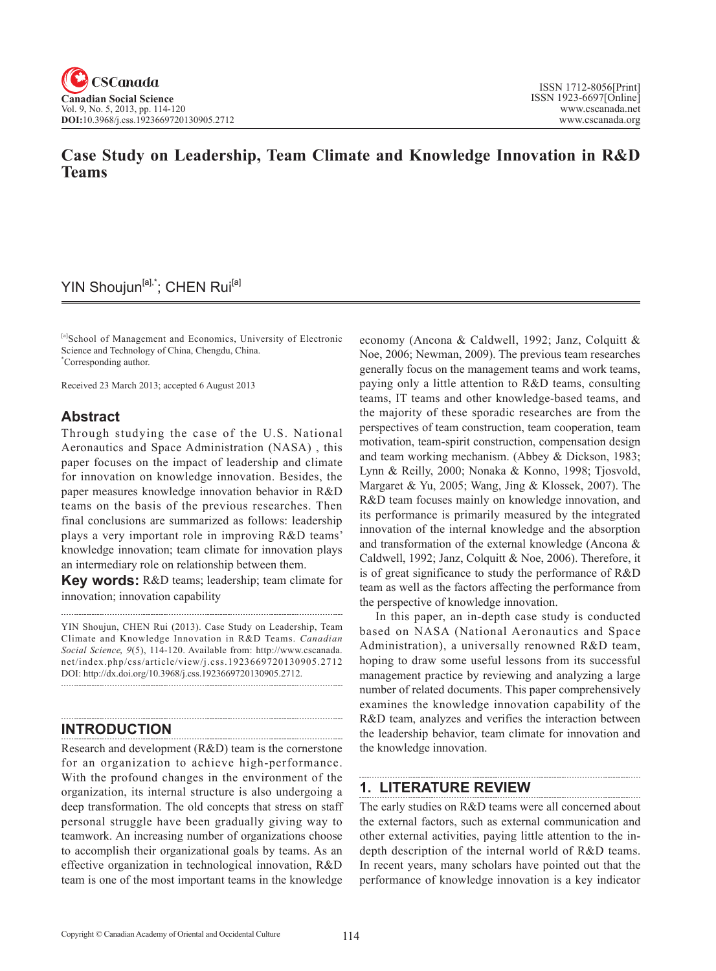# **Case Study on Leadership, Team Climate and Knowledge Innovation in R&D Teams**

## YIN Shoujun<sup>[a],\*</sup>; CHEN Rui<sup>[a]</sup>

[a]School of Management and Economics, University of Electronic Science and Technology of China, Chengdu, China. \* Corresponding author.

Received 23 March 2013; accepted 6 August 2013

## **Abstract**

Through studying the case of the U.S. National Aeronautics and Space Administration (NASA) , this paper focuses on the impact of leadership and climate for innovation on knowledge innovation. Besides, the paper measures knowledge innovation behavior in R&D teams on the basis of the previous researches. Then final conclusions are summarized as follows: leadership plays a very important role in improving R&D teams' knowledge innovation; team climate for innovation plays an intermediary role on relationship between them.

**Key words:** R&D teams; leadership; team climate for innovation; innovation capability

YIN Shoujun, CHEN Rui (2013). Case Study on Leadership, Team Climate and Knowledge Innovation in R&D Teams. *Canadian Social Science*, <sup>9</sup>(5), 114-120. Available from: http://www.cscanada. net/index.php/css/article/view/j.css.1923669720130905.2712 DOI: http://dx.doi.org/10.3968/j.css.1923669720130905.2712.

# **INTRODUCTION**

Research and development (R&D) team is the cornerstone for an organization to achieve high-performance. With the profound changes in the environment of the organization, its internal structure is also undergoing a deep transformation. The old concepts that stress on staff personal struggle have been gradually giving way to teamwork. An increasing number of organizations choose to accomplish their organizational goals by teams. As an effective organization in technological innovation, R&D team is one of the most important teams in the knowledge

economy (Ancona & Caldwell, 1992; Janz, Colquitt & Noe, 2006; Newman, 2009). The previous team researches generally focus on the management teams and work teams, paying only a little attention to R&D teams, consulting teams, IT teams and other knowledge-based teams, and the majority of these sporadic researches are from the perspectives of team construction, team cooperation, team motivation, team-spirit construction, compensation design and team working mechanism. (Abbey & Dickson, 1983; Lynn & Reilly, 2000; Nonaka & Konno, 1998; Tjosvold, Margaret & Yu, 2005; Wang, Jing & Klossek, 2007). The R&D team focuses mainly on knowledge innovation, and its performance is primarily measured by the integrated innovation of the internal knowledge and the absorption and transformation of the external knowledge (Ancona & Caldwell, 1992; Janz, Colquitt & Noe, 2006). Therefore, it is of great significance to study the performance of R&D team as well as the factors affecting the performance from the perspective of knowledge innovation.

In this paper, an in-depth case study is conducted based on NASA (National Aeronautics and Space Administration), a universally renowned R&D team, hoping to draw some useful lessons from its successful management practice by reviewing and analyzing a large number of related documents. This paper comprehensively examines the knowledge innovation capability of the R&D team, analyzes and verifies the interaction between the leadership behavior, team climate for innovation and the knowledge innovation.

## **1. LITERATURE REVIEW**

The early studies on R&D teams were all concerned about the external factors, such as external communication and other external activities, paying little attention to the indepth description of the internal world of R&D teams. In recent years, many scholars have pointed out that the performance of knowledge innovation is a key indicator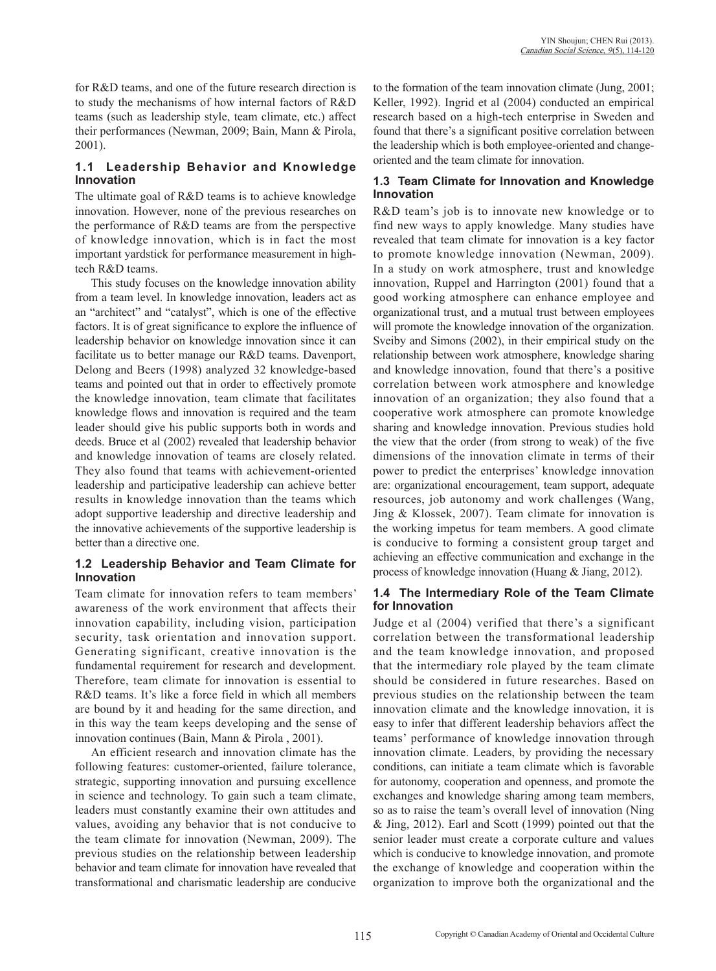for R&D teams, and one of the future research direction is to study the mechanisms of how internal factors of R&D teams (such as leadership style, team climate, etc.) affect their performances (Newman, 2009; Bain, Mann & Pirola, 2001).

## **1.1 Leadership Behavior and Knowledge Innovation**

The ultimate goal of R&D teams is to achieve knowledge innovation. However, none of the previous researches on the performance of R&D teams are from the perspective of knowledge innovation, which is in fact the most important yardstick for performance measurement in hightech R&D teams.

This study focuses on the knowledge innovation ability from a team level. In knowledge innovation, leaders act as an "architect" and "catalyst", which is one of the effective factors. It is of great significance to explore the influence of leadership behavior on knowledge innovation since it can facilitate us to better manage our R&D teams. Davenport, Delong and Beers (1998) analyzed 32 knowledge-based teams and pointed out that in order to effectively promote the knowledge innovation, team climate that facilitates knowledge flows and innovation is required and the team leader should give his public supports both in words and deeds. Bruce et al (2002) revealed that leadership behavior and knowledge innovation of teams are closely related. They also found that teams with achievement-oriented leadership and participative leadership can achieve better results in knowledge innovation than the teams which adopt supportive leadership and directive leadership and the innovative achievements of the supportive leadership is better than a directive one.

### **1.2 Leadership Behavior and Team Climate for Innovation**

Team climate for innovation refers to team members' awareness of the work environment that affects their innovation capability, including vision, participation security, task orientation and innovation support. Generating significant, creative innovation is the fundamental requirement for research and development. Therefore, team climate for innovation is essential to R&D teams. It's like a force field in which all members are bound by it and heading for the same direction, and in this way the team keeps developing and the sense of innovation continues (Bain, Mann & Pirola , 2001).

An efficient research and innovation climate has the following features: customer-oriented, failure tolerance, strategic, supporting innovation and pursuing excellence in science and technology. To gain such a team climate, leaders must constantly examine their own attitudes and values, avoiding any behavior that is not conducive to the team climate for innovation (Newman, 2009). The previous studies on the relationship between leadership behavior and team climate for innovation have revealed that transformational and charismatic leadership are conducive

to the formation of the team innovation climate (Jung, 2001; Keller, 1992). Ingrid et al (2004) conducted an empirical research based on a high-tech enterprise in Sweden and found that there's a significant positive correlation between the leadership which is both employee-oriented and changeoriented and the team climate for innovation.

## **1.3 Team Climate for Innovation and Knowledge Innovation**

R&D team's job is to innovate new knowledge or to find new ways to apply knowledge. Many studies have revealed that team climate for innovation is a key factor to promote knowledge innovation (Newman, 2009). In a study on work atmosphere, trust and knowledge innovation, Ruppel and Harrington (2001) found that a good working atmosphere can enhance employee and organizational trust, and a mutual trust between employees will promote the knowledge innovation of the organization. Sveiby and Simons (2002), in their empirical study on the relationship between work atmosphere, knowledge sharing and knowledge innovation, found that there's a positive correlation between work atmosphere and knowledge innovation of an organization; they also found that a cooperative work atmosphere can promote knowledge sharing and knowledge innovation. Previous studies hold the view that the order (from strong to weak) of the five dimensions of the innovation climate in terms of their power to predict the enterprises' knowledge innovation are: organizational encouragement, team support, adequate resources, job autonomy and work challenges (Wang, Jing & Klossek, 2007). Team climate for innovation is the working impetus for team members. A good climate is conducive to forming a consistent group target and achieving an effective communication and exchange in the process of knowledge innovation (Huang & Jiang, 2012).

## **1.4 The Intermediary Role of the Team Climate for Innovation**

Judge et al (2004) verified that there's a significant correlation between the transformational leadership and the team knowledge innovation, and proposed that the intermediary role played by the team climate should be considered in future researches. Based on previous studies on the relationship between the team innovation climate and the knowledge innovation, it is easy to infer that different leadership behaviors affect the teams' performance of knowledge innovation through innovation climate. Leaders, by providing the necessary conditions, can initiate a team climate which is favorable for autonomy, cooperation and openness, and promote the exchanges and knowledge sharing among team members, so as to raise the team's overall level of innovation (Ning & Jing, 2012). Earl and Scott (1999) pointed out that the senior leader must create a corporate culture and values which is conducive to knowledge innovation, and promote the exchange of knowledge and cooperation within the organization to improve both the organizational and the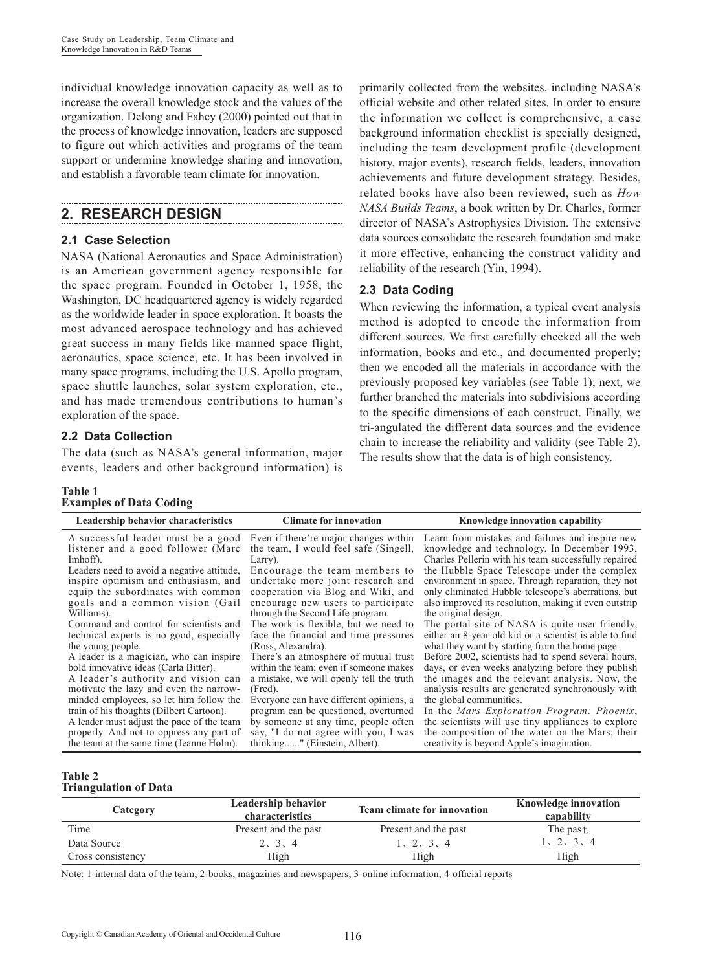individual knowledge innovation capacity as well as to increase the overall knowledge stock and the values of the organization. Delong and Fahey (2000) pointed out that in the process of knowledge innovation, leaders are supposed to figure out which activities and programs of the team support or undermine knowledge sharing and innovation, and establish a favorable team climate for innovation.

## **2. RESEARCH DESIGN**

## **2.1 Case Selection**

NASA (National Aeronautics and Space Administration) is an American government agency responsible for the space program. Founded in October 1, 1958, the Washington, DC headquartered agency is widely regarded as the worldwide leader in space exploration. It boasts the most advanced aerospace technology and has achieved great success in many fields like manned space flight, aeronautics, space science, etc. It has been involved in many space programs, including the U.S. Apollo program, space shuttle launches, solar system exploration, etc., and has made tremendous contributions to human's exploration of the space.

## **2.2 Data Collection**

The data (such as NASA's general information, major events, leaders and other background information) is

### **Table 1 Examples of Data Coding**

primarily collected from the websites, including NASA's official website and other related sites. In order to ensure the information we collect is comprehensive, a case background information checklist is specially designed, including the team development profile (development history, major events), research fields, leaders, innovation achievements and future development strategy. Besides, related books have also been reviewed, such as *How NASA Builds Teams*, a book written by Dr. Charles, former director of NASA's Astrophysics Division. The extensive data sources consolidate the research foundation and make it more effective, enhancing the construct validity and reliability of the research (Yin, 1994).

## **2.3 Data Coding**

When reviewing the information, a typical event analysis method is adopted to encode the information from different sources. We first carefully checked all the web information, books and etc., and documented properly; then we encoded all the materials in accordance with the previously proposed key variables (see Table 1); next, we further branched the materials into subdivisions according to the specific dimensions of each construct. Finally, we tri-angulated the different data sources and the evidence chain to increase the reliability and validity (see Table 2). The results show that the data is of high consistency.

| Leadership behavior characteristics                                                                                                                                                                                                                                                                                                                                                                                                                                                                                                                                                                                                                                                                                               | <b>Climate for innovation</b>                                                                                                                                                                                                                                                                                                                                                                                                                                                                                                                                                                                                                                                                        | Knowledge innovation capability                                                                                                                                                                                                                                                                                                                                                                                                                                                                                                                                                                                                                                                                                                                                                                                                                                                                                                                                           |
|-----------------------------------------------------------------------------------------------------------------------------------------------------------------------------------------------------------------------------------------------------------------------------------------------------------------------------------------------------------------------------------------------------------------------------------------------------------------------------------------------------------------------------------------------------------------------------------------------------------------------------------------------------------------------------------------------------------------------------------|------------------------------------------------------------------------------------------------------------------------------------------------------------------------------------------------------------------------------------------------------------------------------------------------------------------------------------------------------------------------------------------------------------------------------------------------------------------------------------------------------------------------------------------------------------------------------------------------------------------------------------------------------------------------------------------------------|---------------------------------------------------------------------------------------------------------------------------------------------------------------------------------------------------------------------------------------------------------------------------------------------------------------------------------------------------------------------------------------------------------------------------------------------------------------------------------------------------------------------------------------------------------------------------------------------------------------------------------------------------------------------------------------------------------------------------------------------------------------------------------------------------------------------------------------------------------------------------------------------------------------------------------------------------------------------------|
| A successful leader must be a good<br>listener and a good follower (Marc<br>Imhoff).<br>Leaders need to avoid a negative attitude,<br>inspire optimism and enthusiasm, and<br>equip the subordinates with common<br>goals and a common vision (Gail<br>Williams).<br>Command and control for scientists and<br>technical experts is no good, especially<br>the young people.<br>A leader is a magician, who can inspire<br>bold innovative ideas (Carla Bitter).<br>A leader's authority and vision can<br>motivate the lazy and even the narrow-<br>minded employees, so let him follow the<br>train of his thoughts (Dilbert Cartoon).<br>A leader must adjust the pace of the team<br>properly. And not to oppress any part of | Even if there're major changes within<br>the team, I would feel safe (Singell,<br>Larry).<br>Encourage the team members to<br>undertake more joint research and<br>cooperation via Blog and Wiki, and<br>encourage new users to participate<br>through the Second Life program.<br>The work is flexible, but we need to<br>face the financial and time pressures<br>(Ross, Alexandra).<br>There's an atmosphere of mutual trust<br>within the team; even if someone makes<br>a mistake, we will openly tell the truth<br>(Fred).<br>Everyone can have different opinions, a<br>program can be questioned, overturned<br>by someone at any time, people often<br>say, "I do not agree with you, I was | Learn from mistakes and failures and inspire new<br>knowledge and technology. In December 1993,<br>Charles Pellerin with his team successfully repaired<br>the Hubble Space Telescope under the complex<br>environment in space. Through reparation, they not<br>only eliminated Hubble telescope's aberrations, but<br>also improved its resolution, making it even outstrip<br>the original design.<br>The portal site of NASA is quite user friendly,<br>either an 8-year-old kid or a scientist is able to find<br>what they want by starting from the home page.<br>Before 2002, scientists had to spend several hours,<br>days, or even weeks analyzing before they publish<br>the images and the relevant analysis. Now, the<br>analysis results are generated synchronously with<br>the global communities.<br>In the Mars Exploration Program: Phoenix,<br>the scientists will use tiny appliances to explore<br>the composition of the water on the Mars; their |
| the team at the same time (Jeanne Holm).                                                                                                                                                                                                                                                                                                                                                                                                                                                                                                                                                                                                                                                                                          | thinking" (Einstein, Albert).                                                                                                                                                                                                                                                                                                                                                                                                                                                                                                                                                                                                                                                                        | creativity is beyond Apple's imagination.                                                                                                                                                                                                                                                                                                                                                                                                                                                                                                                                                                                                                                                                                                                                                                                                                                                                                                                                 |

### **Table 2 Triangulation of Data**

| Category          | Leadership behavior<br>characteristics | <b>Team climate for innovation</b> | <b>Knowledge innovation</b><br>capability |
|-------------------|----------------------------------------|------------------------------------|-------------------------------------------|
| Time              | Present and the past                   | Present and the past               | The past                                  |
| Data Source       | 2, 3, 4                                | 1, 2, 3, 4                         | 1, 2, 3, 4                                |
| Cross consistency | High                                   | High                               | High                                      |

Note: 1-internal data of the team; 2-books, magazines and newspapers; 3-online information; 4-official reports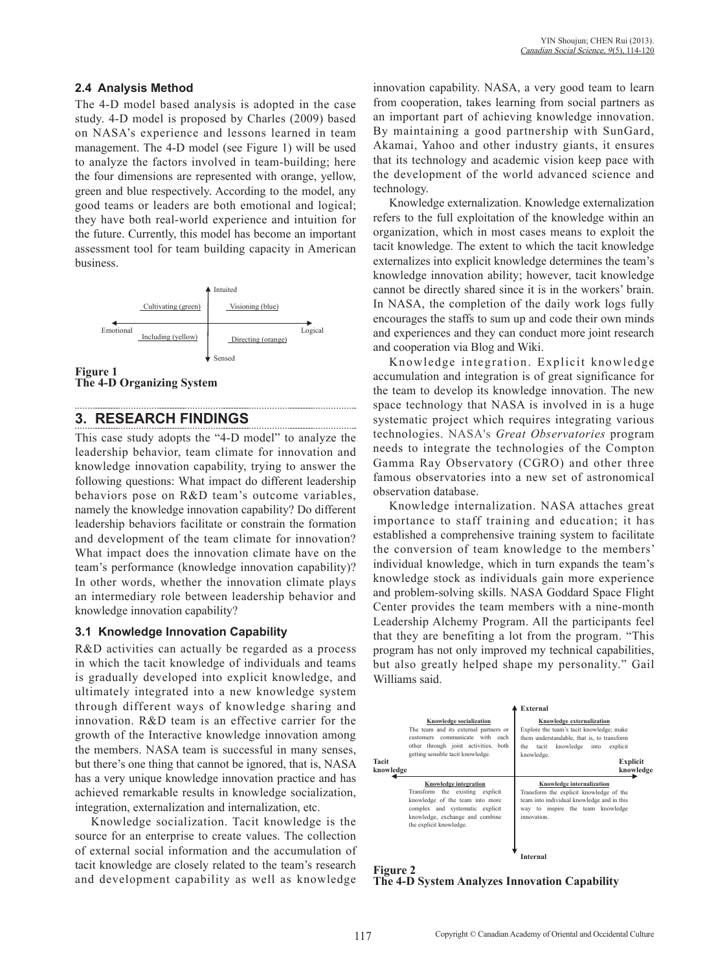## **2.4 Analysis Method**

The 4-D model based analysis is adopted in the case study. 4-D model is proposed by Charles (2009) based on NASA's experience and lessons learned in team management. The 4-D model (see Figure 1) will be used to analyze the factors involved in team-building; here the four dimensions are represented with orange, yellow, green and blue respectively. According to the model, any good teams or leaders are both emotional and logical; they have both real-world experience and intuition for the future. Currently, this model has become an important assessment tool for team building capacity in American business.





# **3. RESEARCH FINDINGS**

This case study adopts the "4-D model" to analyze the leadership behavior, team climate for innovation and knowledge innovation capability, trying to answer the following questions: What impact do different leadership behaviors pose on R&D team's outcome variables, namely the knowledge innovation capability? Do different leadership behaviors facilitate or constrain the formation and development of the team climate for innovation? What impact does the innovation climate have on the team's performance (knowledge innovation capability)? In other words, whether the innovation climate plays an intermediary role between leadership behavior and knowledge innovation capability?

### **3.1 Knowledge Innovation Capability**

R&D activities can actually be regarded as a process in which the tacit knowledge of individuals and teams is gradually developed into explicit knowledge, and ultimately integrated into a new knowledge system through different ways of knowledge sharing and innovation. R&D team is an effective carrier for the growth of the Interactive knowledge innovation among the members. NASA team is successful in many senses, but there's one thing that cannot be ignored, that is, NASA has a very unique knowledge innovation practice and has achieved remarkable results in knowledge socialization, integration, externalization and internalization, etc.

Knowledge socialization. Tacit knowledge is the source for an enterprise to create values. The collection of external social information and the accumulation of tacit knowledge are closely related to the team's research and development capability as well as knowledge innovation capability. NASA, a very good team to learn from cooperation, takes learning from social partners as an important part of achieving knowledge innovation. By maintaining a good partnership with SunGard, Akamai, Yahoo and other industry giants, it ensures that its technology and academic vision keep pace with the development of the world advanced science and technology.

Knowledge externalization. Knowledge externalization refers to the full exploitation of the knowledge within an organization, which in most cases means to exploit the tacit knowledge. The extent to which the tacit knowledge externalizes into explicit knowledge determines the team's knowledge innovation ability; however, tacit knowledge cannot be directly shared since it is in the workers' brain. In NASA, the completion of the daily work logs fully encourages the staffs to sum up and code their own minds and experiences and they can conduct more joint research and cooperation via Blog and Wiki.

Knowledge integration. Explicit knowledge accumulation and integration is of great significance for the team to develop its knowledge innovation. The new space technology that NASA is involved in is a huge systematic project which requires integrating various technologies. NASA's *Great Observatories* program needs to integrate the technologies of the Compton Gamma Ray Observatory (CGRO) and other three famous observatories into a new set of astronomical observation database.

Knowledge internalization. NASA attaches great importance to staff training and education; it has established a comprehensive training system to facilitate the conversion of team knowledge to the members' individual knowledge, which in turn expands the team's knowledge stock as individuals gain more experience and problem-solving skills. NASA Goddard Space Flight Center provides the team members with a nine-month Leadership Alchemy Program. All the participants feel that they are benefiting a lot from the program. "This program has not only improved my technical capabilities, but also greatly helped shape my personality." Gail Williams said.

| Knowledge socialization<br>The team and its external partners or<br>customers communicate with each<br>other through joint activities, both<br>getting sensible tacit knowledge.<br>Tacit<br>knowledge | External<br>Knowledge externalization<br>Explore the team's tacit knowledge; make<br>them understandable, that is, to transform<br>knowledge<br>explicit<br>the<br>tacit<br>into<br>knowledge.<br><b>Explicit</b><br>knowledge |  |
|--------------------------------------------------------------------------------------------------------------------------------------------------------------------------------------------------------|--------------------------------------------------------------------------------------------------------------------------------------------------------------------------------------------------------------------------------|--|
| Knowledge integration                                                                                                                                                                                  | Knowledge internalization                                                                                                                                                                                                      |  |
| Transform the existing explicit                                                                                                                                                                        | Transform the explicit knowledge of the                                                                                                                                                                                        |  |
| knowledge of the team into more                                                                                                                                                                        | team into individual knowledge and in this                                                                                                                                                                                     |  |
| complex and systematic explicit                                                                                                                                                                        | way to inspire the team knowledge                                                                                                                                                                                              |  |
| knowledge, exchange and combine                                                                                                                                                                        | innovation                                                                                                                                                                                                                     |  |
| the explicit knowledge.                                                                                                                                                                                | <b>Internal</b>                                                                                                                                                                                                                |  |

#### **Figure 2 The 4-D System Analyzes Innovation Capability**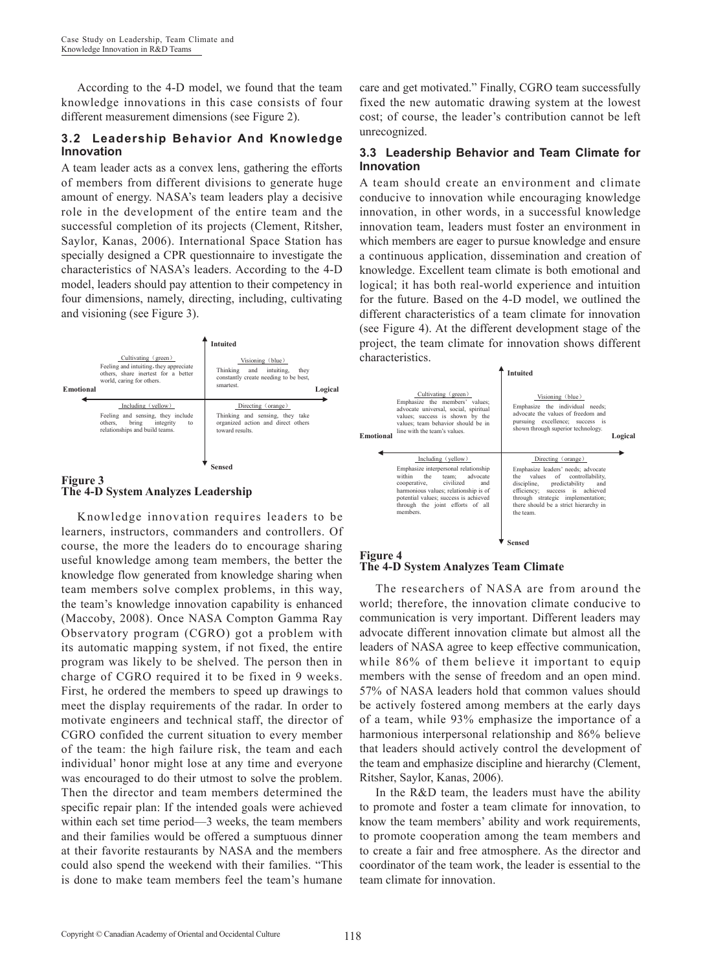According to the 4-D model, we found that the team knowledge innovations in this case consists of four different measurement dimensions (see Figure 2).

### **3.2 Leadership Behavior And Knowledge Innovation**

A team leader acts as a convex lens, gathering the efforts of members from different divisions to generate huge amount of energy. NASA's team leaders play a decisive role in the development of the entire team and the successful completion of its projects (Clement, Ritsher, Saylor, Kanas, 2006). International Space Station has specially designed a CPR questionnaire to investigate the characteristics of NASA's leaders. According to the 4-D model, leaders should pay attention to their competency in four dimensions, namely, directing, including, cultivating and visioning (see Figure 3).



### **Figure 3 The 4-D System Analyzes Leadership**

Knowledge innovation requires leaders to be learners, instructors, commanders and controllers. Of course, the more the leaders do to encourage sharing useful knowledge among team members, the better the knowledge flow generated from knowledge sharing when team members solve complex problems, in this way, the team's knowledge innovation capability is enhanced (Maccoby, 2008). Once NASA Compton Gamma Ray Observatory program (CGRO) got a problem with its automatic mapping system, if not fixed, the entire program was likely to be shelved. The person then in charge of CGRO required it to be fixed in 9 weeks. First, he ordered the members to speed up drawings to meet the display requirements of the radar. In order to motivate engineers and technical staff, the director of CGRO confided the current situation to every member of the team: the high failure risk, the team and each individual' honor might lose at any time and everyone was encouraged to do their utmost to solve the problem. Then the director and team members determined the specific repair plan: If the intended goals were achieved within each set time period—3 weeks, the team members and their families would be offered a sumptuous dinner at their favorite restaurants by NASA and the members could also spend the weekend with their families. "This is done to make team members feel the team's humane

care and get motivated." Finally, CGRO team successfully fixed the new automatic drawing system at the lowest cost; of course, the leader's contribution cannot be left unrecognized.

### **3.3 Leadership Behavior and Team Climate for Innovation**

A team should create an environment and climate conducive to innovation while encouraging knowledge innovation, in other words, in a successful knowledge innovation team, leaders must foster an environment in which members are eager to pursue knowledge and ensure a continuous application, dissemination and creation of knowledge. Excellent team climate is both emotional and logical; it has both real-world experience and intuition for the future. Based on the 4-D model, we outlined the different characteristics of a team climate for innovation (see Figure 4). At the different development stage of the project, the team climate for innovation shows different characteristics.

|                  |                                                                                                                                                                                                                                                                       | <b>Intuited</b>                                                                                                                                                                                                                                                              |         |  |
|------------------|-----------------------------------------------------------------------------------------------------------------------------------------------------------------------------------------------------------------------------------------------------------------------|------------------------------------------------------------------------------------------------------------------------------------------------------------------------------------------------------------------------------------------------------------------------------|---------|--|
| <b>Emotional</b> | Cultivating (green)<br>Emphasize the members' values;<br>advocate universal, social, spiritual<br>values: success is shown by the<br>values; team behavior should be in<br>line with the team's values                                                                | Visioning (blue)<br>Emphasize the individual needs;<br>advocate the values of freedom and<br>pursuing excellence; success is<br>shown through superior technology.                                                                                                           | Logical |  |
|                  | Including (yellow)<br>Emphasize interpersonal relationship<br>within<br>the<br>advocate<br>team:<br>civilized<br>cooperative,<br>and<br>harmonious values; relationship is of<br>potential values; success is achieved<br>through the joint efforts of all<br>members | Directing (orange)<br>Emphasize leaders' needs; advocate<br>values<br>of<br>controllability.<br>the the<br>discipline,<br>predictability<br>and<br>efficiency; success is achieved<br>through strategic implementation;<br>there should be a strict hierarchy in<br>the team |         |  |
|                  |                                                                                                                                                                                                                                                                       | Sensed                                                                                                                                                                                                                                                                       |         |  |

#### **Figure 4 The 4-D System Analyzes Team Climate**

The researchers of NASA are from around the world; therefore, the innovation climate conducive to communication is very important. Different leaders may advocate different innovation climate but almost all the leaders of NASA agree to keep effective communication, while 86% of them believe it important to equip members with the sense of freedom and an open mind. 57% of NASA leaders hold that common values should be actively fostered among members at the early days of a team, while 93% emphasize the importance of a harmonious interpersonal relationship and 86% believe that leaders should actively control the development of the team and emphasize discipline and hierarchy (Clement, Ritsher, Saylor, Kanas, 2006).

In the R&D team, the leaders must have the ability to promote and foster a team climate for innovation, to know the team members' ability and work requirements, to promote cooperation among the team members and to create a fair and free atmosphere. As the director and coordinator of the team work, the leader is essential to the team climate for innovation.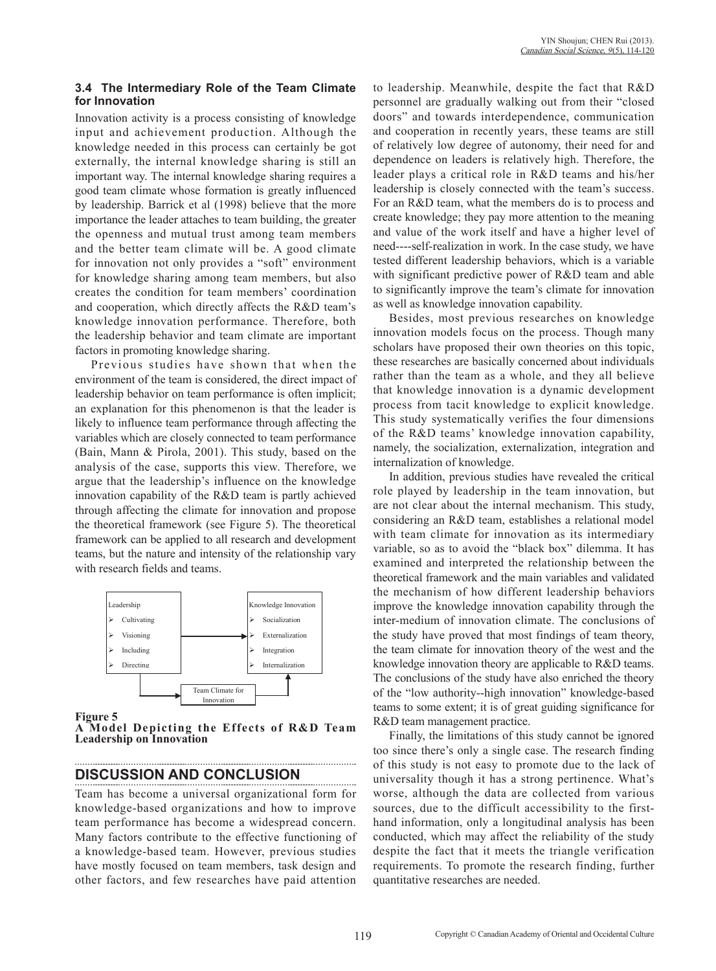### **3.4 The Intermediary Role of the Team Climate for Innovation**

Innovation activity is a process consisting of knowledge input and achievement production. Although the knowledge needed in this process can certainly be got externally, the internal knowledge sharing is still an important way. The internal knowledge sharing requires a good team climate whose formation is greatly influenced by leadership. Barrick et al (1998) believe that the more importance the leader attaches to team building, the greater the openness and mutual trust among team members and the better team climate will be. A good climate for innovation not only provides a "soft" environment for knowledge sharing among team members, but also creates the condition for team members' coordination and cooperation, which directly affects the R&D team's knowledge innovation performance. Therefore, both the leadership behavior and team climate are important factors in promoting knowledge sharing.

Previous studies have shown that when the environment of the team is considered, the direct impact of leadership behavior on team performance is often implicit; an explanation for this phenomenon is that the leader is likely to influence team performance through affecting the variables which are closely connected to team performance (Bain, Mann & Pirola, 2001). This study, based on the analysis of the case, supports this view. Therefore, we argue that the leadership's influence on the knowledge innovation capability of the R&D team is partly achieved through affecting the climate for innovation and propose the theoretical framework (see Figure 5). The theoretical framework can be applied to all research and development teams, but the nature and intensity of the relationship vary with research fields and teams.



**Figure 5** 

**A Model Depicting the Effects of R&D Team Leadership on Innovation**

## **DISCUSSION AND CONCLUSION**

Team has become a universal organizational form for knowledge-based organizations and how to improve team performance has become a widespread concern. Many factors contribute to the effective functioning of a knowledge-based team. However, previous studies have mostly focused on team members, task design and other factors, and few researches have paid attention to leadership. Meanwhile, despite the fact that R&D personnel are gradually walking out from their "closed doors" and towards interdependence, communication and cooperation in recently years, these teams are still of relatively low degree of autonomy, their need for and dependence on leaders is relatively high. Therefore, the leader plays a critical role in R&D teams and his/her leadership is closely connected with the team's success. For an R&D team, what the members do is to process and create knowledge; they pay more attention to the meaning and value of the work itself and have a higher level of need----self-realization in work. In the case study, we have tested different leadership behaviors, which is a variable with significant predictive power of R&D team and able to significantly improve the team's climate for innovation as well as knowledge innovation capability.

Besides, most previous researches on knowledge innovation models focus on the process. Though many scholars have proposed their own theories on this topic, these researches are basically concerned about individuals rather than the team as a whole, and they all believe that knowledge innovation is a dynamic development process from tacit knowledge to explicit knowledge. This study systematically verifies the four dimensions of the R&D teams' knowledge innovation capability, namely, the socialization, externalization, integration and internalization of knowledge.

In addition, previous studies have revealed the critical role played by leadership in the team innovation, but are not clear about the internal mechanism. This study, considering an R&D team, establishes a relational model with team climate for innovation as its intermediary variable, so as to avoid the "black box" dilemma. It has examined and interpreted the relationship between the theoretical framework and the main variables and validated the mechanism of how different leadership behaviors improve the knowledge innovation capability through the inter-medium of innovation climate. The conclusions of the study have proved that most findings of team theory, the team climate for innovation theory of the west and the knowledge innovation theory are applicable to R&D teams. The conclusions of the study have also enriched the theory of the "low authority--high innovation" knowledge-based teams to some extent; it is of great guiding significance for R&D team management practice.

Finally, the limitations of this study cannot be ignored too since there's only a single case. The research finding of this study is not easy to promote due to the lack of universality though it has a strong pertinence. What's worse, although the data are collected from various sources, due to the difficult accessibility to the firsthand information, only a longitudinal analysis has been conducted, which may affect the reliability of the study despite the fact that it meets the triangle verification requirements. To promote the research finding, further quantitative researches are needed.